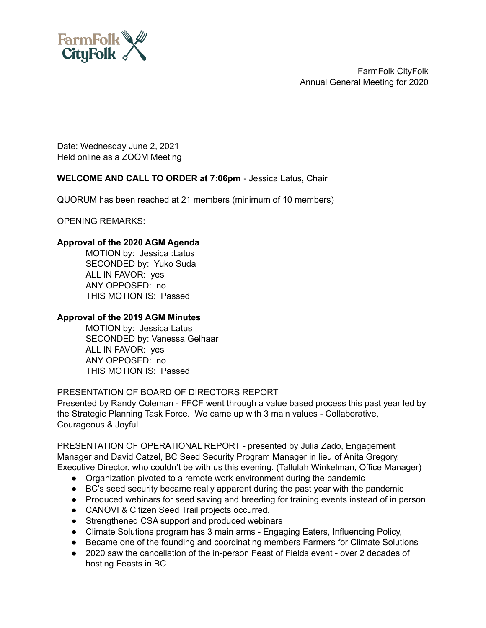

Date: Wednesday June 2, 2021 Held online as a ZOOM Meeting

# **WELCOME AND CALL TO ORDER at 7:06pm** - Jessica Latus, Chair

QUORUM has been reached at 21 members (minimum of 10 members)

OPENING REMARKS:

### **Approval of the 2020 AGM Agenda**

MOTION by: Jessica :Latus SECONDED by: Yuko Suda ALL IN FAVOR: yes ANY OPPOSED: no THIS MOTION IS: Passed

#### **Approval of the 2019 AGM Minutes**

MOTION by: Jessica Latus SECONDED by: Vanessa Gelhaar ALL IN FAVOR: yes ANY OPPOSED: no THIS MOTION IS: Passed

# PRESENTATION OF BOARD OF DIRECTORS REPORT

Presented by Randy Coleman - FFCF went through a value based process this past year led by the Strategic Planning Task Force. We came up with 3 main values - Collaborative, Courageous & Joyful

PRESENTATION OF OPERATIONAL REPORT - presented by Julia Zado, Engagement Manager and David Catzel, BC Seed Security Program Manager in lieu of Anita Gregory, Executive Director, who couldn't be with us this evening. (Tallulah Winkelman, Office Manager)

- Organization pivoted to a remote work environment during the pandemic
- BC's seed security became really apparent during the past year with the pandemic
- Produced webinars for seed saving and breeding for training events instead of in person
- CANOVI & Citizen Seed Trail projects occurred.
- Strengthened CSA support and produced webinars
- Climate Solutions program has 3 main arms Engaging Eaters, Influencing Policy,
- Became one of the founding and coordinating members Farmers for Climate Solutions
- 2020 saw the cancellation of the in-person Feast of Fields event over 2 decades of hosting Feasts in BC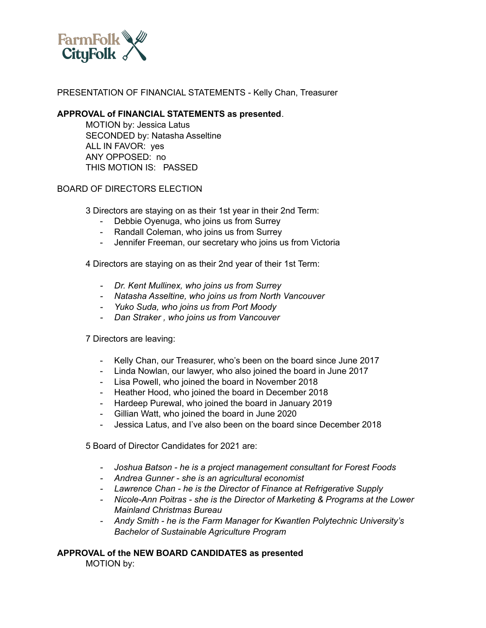

## PRESENTATION OF FINANCIAL STATEMENTS - Kelly Chan, Treasurer

#### **APPROVAL of FINANCIAL STATEMENTS as presented**.

MOTION by: Jessica Latus SECONDED by: Natasha Asseltine ALL IN FAVOR: yes ANY OPPOSED: no THIS MOTION IS: PASSED

### BOARD OF DIRECTORS ELECTION

3 Directors are staying on as their 1st year in their 2nd Term:

- Debbie Oyenuga, who joins us from Surrey
- Randall Coleman, who joins us from Surrey
- Jennifer Freeman, our secretary who joins us from Victoria

4 Directors are staying on as their 2nd year of their 1st Term:

- *- Dr. Kent Mullinex, who joins us from Surrey*
- *- Natasha Asseltine, who joins us from North Vancouver*
- *- Yuko Suda, who joins us from Port Moody*
- *- Dan Straker , who joins us from Vancouver*

7 Directors are leaving:

- Kelly Chan, our Treasurer, who's been on the board since June 2017
- Linda Nowlan, our lawyer, who also joined the board in June 2017
- Lisa Powell, who joined the board in November 2018
- Heather Hood, who joined the board in December 2018
- Hardeep Purewal, who joined the board in January 2019
- Gillian Watt, who joined the board in June 2020
- Jessica Latus, and I've also been on the board since December 2018

5 Board of Director Candidates for 2021 are:

- *- Joshua Batson - he is a project management consultant for Forest Foods*
- *- Andrea Gunner - she is an agricultural economist*
- *- Lawrence Chan - he is the Director of Finance at Refrigerative Supply*
- *- Nicole-Ann Poitras - she is the Director of Marketing & Programs at the Lower Mainland Christmas Bureau*
- *- Andy Smith - he is the Farm Manager for Kwantlen Polytechnic University's Bachelor of Sustainable Agriculture Program*

#### **APPROVAL of the NEW BOARD CANDIDATES as presented** MOTION by: